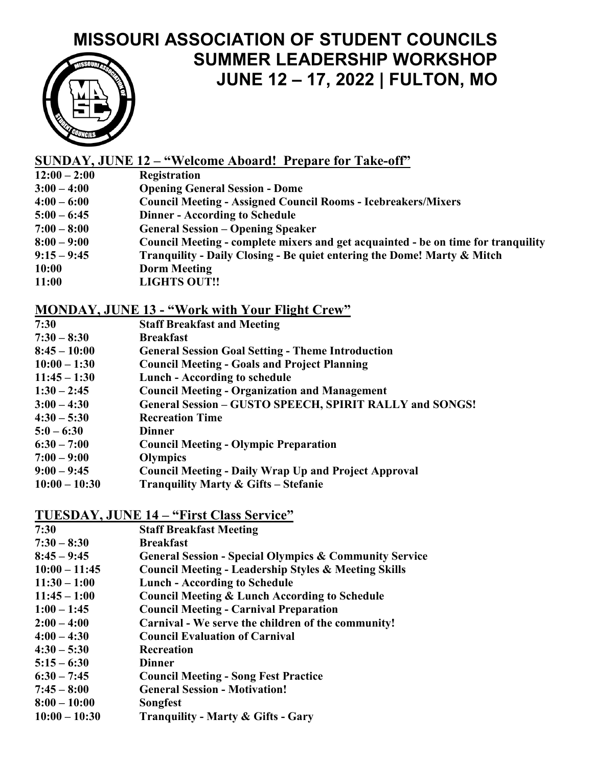# **MISSOURI ASSOCIATION OF STUDENT COUNCILS SUMMER LEADERSHIP WORKSHOP JUNE 12 – 17, 2022 | FULTON, MO**



# **SUNDAY, JUNE 12 – "Welcome Aboard! Prepare for Take-off"**

- **12:00 – 2:00 Registration**
- **3:00 – 4:00 Opening General Session - Dome**
- **4:00 – 6:00 Council Meeting - Assigned Council Rooms - Icebreakers/Mixers**
- **5:00 – 6:45 Dinner - According to Schedule**
- **7:00 – 8:00 General Session – Opening Speaker**
- **8:00 – 9:00 Council Meeting - complete mixers and get acquainted - be on time for tranquility**
- **9:15 – 9:45 Tranquility - Daily Closing - Be quiet entering the Dome! Marty & Mitch**
- **10:00 Dorm Meeting**
- **11:00 LIGHTS OUT!!**

#### **MONDAY, JUNE 13 - "Work with Your Flight Crew"**

- **7:30 Staff Breakfast and Meeting**
- **7:30 – 8:30 Breakfast**
- **8:45 – 10:00 General Session Goal Setting - Theme Introduction**
- **10:00 – 1:30 Council Meeting - Goals and Project Planning**
- **11:45 – 1:30 Lunch - According to schedule**
- **1:30 – 2:45 Council Meeting - Organization and Management**
- **3:00 – 4:30 General Session – GUSTO SPEECH, SPIRIT RALLY and SONGS!**
- **4:30 – 5:30 Recreation Time**
- **5:0 – 6:30 Dinner**
- **6:30 – 7:00 Council Meeting - Olympic Preparation**
- **7:00 – 9:00 Olympics**
- **9:00 – 9:45 Council Meeting - Daily Wrap Up and Project Approval**
- **10:00 – 10:30 Tranquility Marty & Gifts – Stefanie**

#### **TUESDAY, JUNE 14 – "First Class Service"**

- **7:30 Staff Breakfast Meeting**
- **7:30 – 8:30 Breakfast**
- **8:45 – 9:45 General Session - Special Olympics & Community Service**
- **10:00 – 11:45 Council Meeting - Leadership Styles & Meeting Skills**
- **11:30 – 1:00 Lunch - According to Schedule**
- **11:45 – 1:00 Council Meeting & Lunch According to Schedule**
- **1:00 – 1:45 Council Meeting - Carnival Preparation**
- **2:00 – 4:00 Carnival - We serve the children of the community!**
- **4:00 – 4:30 Council Evaluation of Carnival**
- **4:30 – 5:30 Recreation**
- **5:15 – 6:30 Dinner**
- **6:30 – 7:45 Council Meeting - Song Fest Practice**
- **7:45 – 8:00 General Session - Motivation!**
- **8:00 – 10:00 Songfest**
- **10:00 – 10:30 Tranquility - Marty & Gifts - Gary**